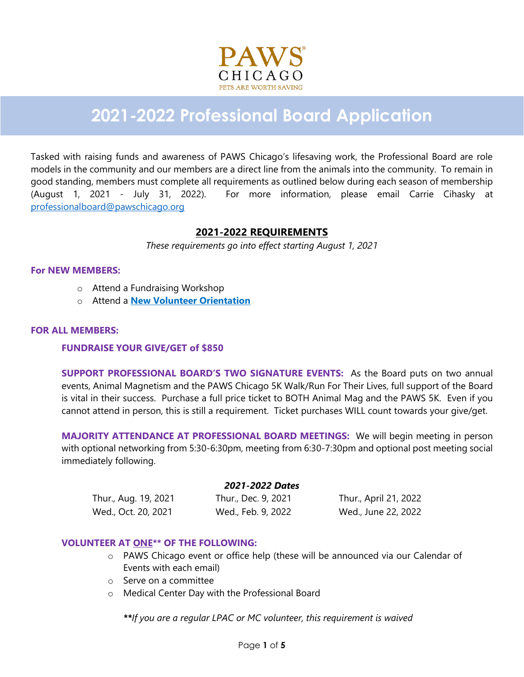

# **2021-2022 Professional Board Application**

Tasked with raising funds and awareness of PAWS Chicago's lifesaving work, the Professional Board are role models in the community and our members are a direct line from the animals into the community. To remain in good standing, members must complete all requirements as outlined below during each season of membership (August 1, 2021 - July 31, 2022). For more information, please email Carrie Cihasky at [professionalboard@pawschicago.org](mailto:professionalboard@pawschicago.org)

# **2021-2022 REQUIREMENTS**

*These requirements go into effect starting August 1, 2021*

#### **For NEW MEMBERS:**

- o Attend a Fundraising Workshop
- o Attend a **[New Volunteer Orientation](http://www.pawschicago.org/how-to-help/volunteer/become-a-volunteer/)**

#### **FOR ALL MEMBERS:**

#### **FUNDRAISE YOUR GIVE/GET of \$850**

**SUPPORT PROFESSIONAL BOARD'S TWO SIGNATURE EVENTS:** As the Board puts on two annual events, Animal Magnetism and the PAWS Chicago 5K Walk/Run For Their Lives, full support of the Board is vital in their success. Purchase a full price ticket to BOTH Animal Mag and the PAWS 5K. Even if you cannot attend in person, this is still a requirement. Ticket purchases WILL count towards your give/get.

**MAJORITY ATTENDANCE AT PROFESSIONAL BOARD MEETINGS:** We will begin meeting in person with optional networking from 5:30-6:30pm, meeting from 6:30-7:30pm and optional post meeting social immediately following.

#### *2021-2022 Dates*

Thur., Aug. 19, 2021 Thur., Dec. 9, 2021 Thur., April 21, 2022 Wed., Oct. 20, 2021 Wed., Feb. 9, 2022 Wed., June 22, 2022

### **VOLUNTEER AT ONE\*\* OF THE FOLLOWING:**

- o PAWS Chicago event or office help (these will be announced via our Calendar of Events with each email)
- o Serve on a committee
- o Medical Center Day with the Professional Board

*\*\*If you are a regular LPAC or MC volunteer, this requirement is waived*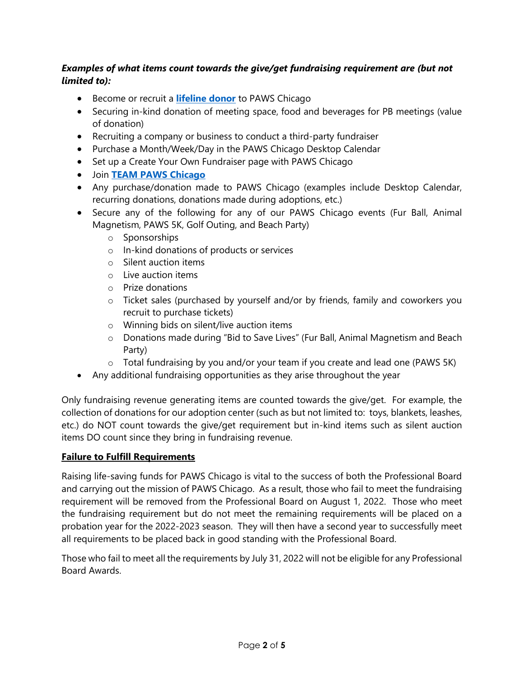# *Examples of what items count towards the give/get fundraising requirement are (but not limited to):*

- Become or recruit a **[lifeline donor](http://www.pawschicago.org/how-to-help/donate/lifeline-monthly-giving-program/)** to PAWS Chicago
- Securing in-kind donation of meeting space, food and beverages for PB meetings (value of donation)
- Recruiting a company or business to conduct a third-party fundraiser
- Purchase a Month/Week/Day in the PAWS Chicago Desktop Calendar
- Set up a Create Your Own Fundraiser page with PAWS Chicago
- Join **[TEAM PAWS](https://my.pawschicago.org/) Chicago**
- Any purchase/donation made to PAWS Chicago (examples include Desktop Calendar, recurring donations, donations made during adoptions, etc.)
- Secure any of the following for any of our PAWS Chicago events (Fur Ball, Animal Magnetism, PAWS 5K, Golf Outing, and Beach Party)
	- o Sponsorships
	- o In-kind donations of products or services
	- o Silent auction items
	- o Live auction items
	- o Prize donations
	- o Ticket sales (purchased by yourself and/or by friends, family and coworkers you recruit to purchase tickets)
	- o Winning bids on silent/live auction items
	- o Donations made during "Bid to Save Lives" (Fur Ball, Animal Magnetism and Beach Party)
	- $\circ$  Total fundraising by you and/or your team if you create and lead one (PAWS 5K)
- Any additional fundraising opportunities as they arise throughout the year

Only fundraising revenue generating items are counted towards the give/get. For example, the collection of donations for our adoption center (such as but not limited to: toys, blankets, leashes, etc.) do NOT count towards the give/get requirement but in-kind items such as silent auction items DO count since they bring in fundraising revenue.

### **Failure to Fulfill Requirements**

Raising life-saving funds for PAWS Chicago is vital to the success of both the Professional Board and carrying out the mission of PAWS Chicago. As a result, those who fail to meet the fundraising requirement will be removed from the Professional Board on August 1, 2022. Those who meet the fundraising requirement but do not meet the remaining requirements will be placed on a probation year for the 2022-2023 season. They will then have a second year to successfully meet all requirements to be placed back in good standing with the Professional Board.

Those who fail to meet all the requirements by July 31, 2022 will not be eligible for any Professional Board Awards.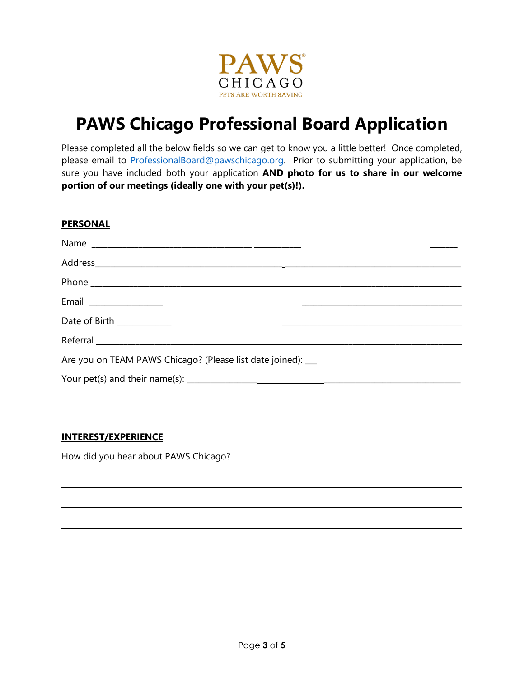

# **PAWS Chicago Professional Board Application**

Please completed all the below fields so we can get to know you a little better! Once completed, please email to [ProfessionalBoard@pawschicago.org.](mailto:ProfessionalBoard@pawschicago.org) Prior to submitting your application, be sure you have included both your application **AND photo for us to share in our welcome portion of our meetings (ideally one with your pet(s)!).**

### **PERSONAL**

### **INTEREST/EXPERIENCE**

How did you hear about PAWS Chicago?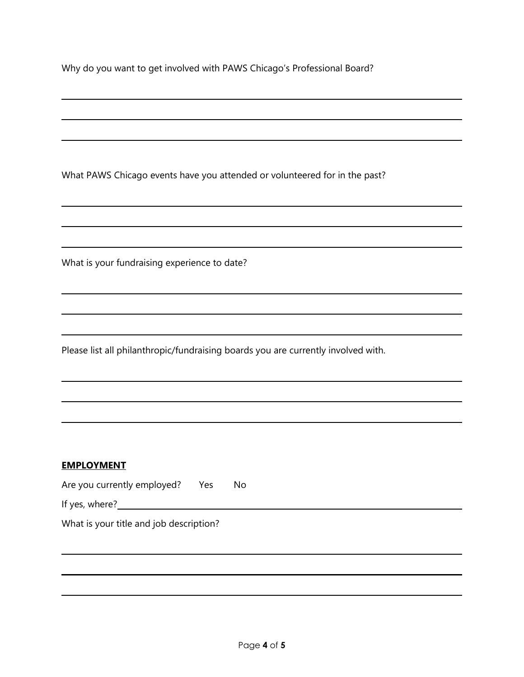Why do you want to get involved with PAWS Chicago's Professional Board?

What PAWS Chicago events have you attended or volunteered for in the past?

What is your fundraising experience to date?

Please list all philanthropic/fundraising boards you are currently involved with.

### **EMPLOYMENT**

Are you currently employed? Yes No

If yes, where?<br>
<u>If</u> yes, where?

What is your title and job description?